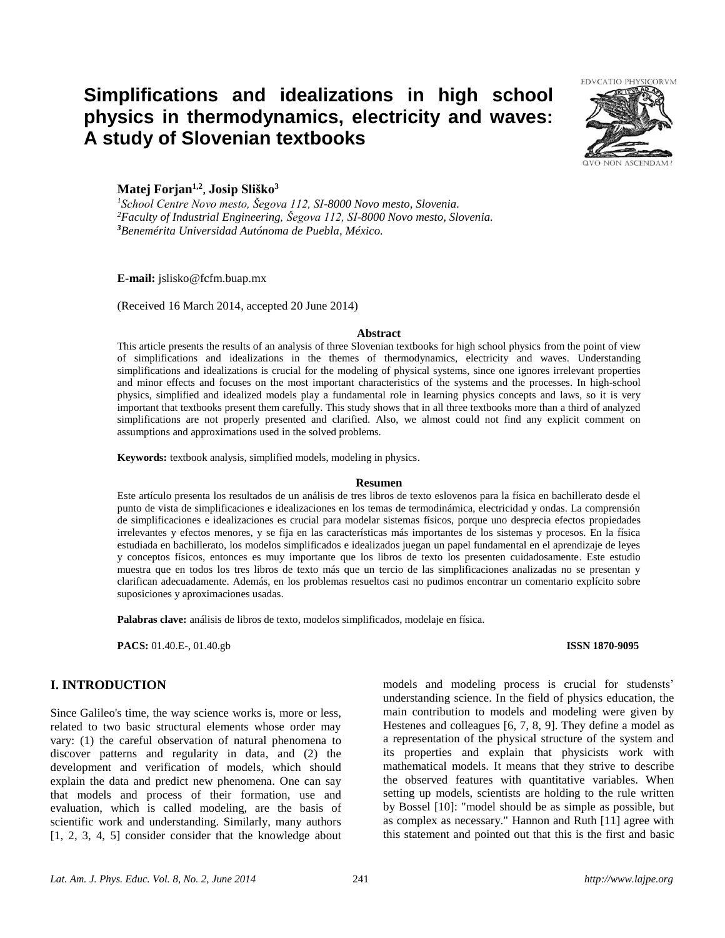# **Simplifications and idealizations in high school physics in thermodynamics, electricity and waves: A study of Slovenian textbooks**



# **Matej Forjan1,2** , **Josip Sliško<sup>3</sup>**

*<sup>1</sup>School Centre Novo mesto, Šegova 112, SI-8000 Novo mesto, Slovenia. <sup>2</sup>Faculty of Industrial Engineering, Šegova 112, SI-8000 Novo mesto, Slovenia. <sup>3</sup>Benemérita Universidad Autónoma de Puebla, México.*

#### **E-mail:** jslisko@fcfm.buap.mx

(Received 16 March 2014, accepted 20 June 2014)

#### **Abstract**

This article presents the results of an analysis of three Slovenian textbooks for high school physics from the point of view of simplifications and idealizations in the themes of thermodynamics, electricity and waves. Understanding simplifications and idealizations is crucial for the modeling of physical systems, since one ignores irrelevant properties and minor effects and focuses on the most important characteristics of the systems and the processes. In high-school physics, simplified and idealized models play a fundamental role in learning physics concepts and laws, so it is very important that textbooks present them carefully. This study shows that in all three textbooks more than a third of analyzed simplifications are not properly presented and clarified. Also, we almost could not find any explicit comment on assumptions and approximations used in the solved problems.

**Keywords:** textbook analysis, simplified models, modeling in physics.

#### **Resumen**

Este artículo presenta los resultados de un análisis de tres libros de texto eslovenos para la física en bachillerato desde el punto de vista de simplificaciones e idealizaciones en los temas de termodinámica, electricidad y ondas. La comprensión de simplificaciones e idealizaciones es crucial para modelar sistemas físicos, porque uno desprecia efectos propiedades irrelevantes y efectos menores, y se fija en las características más importantes de los sistemas y procesos. En la física estudiada en bachillerato, los modelos simplificados e idealizados juegan un papel fundamental en el aprendizaje de leyes y conceptos físicos, entonces es muy importante que los libros de texto los presenten cuidadosamente. Este estudio muestra que en todos los tres libros de texto más que un tercio de las simplificaciones analizadas no se presentan y clarifican adecuadamente. Además, en los problemas resueltos casi no pudimos encontrar un comentario explícito sobre suposiciones y aproximaciones usadas.

**Palabras clave:** análisis de libros de texto, modelos simplificados, modelaje en física.

**PACS:** 01.40.E-, 01.40.gb **ISSN 1870-9095**

# **I. INTRODUCTION**

Since Galileo's time, the way science works is, more or less, related to two basic structural elements whose order may vary: (1) the careful observation of natural phenomena to discover patterns and regularity in data, and (2) the development and verification of models, which should explain the data and predict new phenomena. One can say that models and process of their formation, use and evaluation, which is called modeling, are the basis of scientific work and understanding. Similarly, many authors [1, 2, 3, 4, 5] consider consider that the knowledge about

models and modeling process is crucial for studensts' understanding science. In the field of physics education, the main contribution to models and modeling were given by Hestenes and colleagues [6, 7, 8, 9]. They define a model as a representation of the physical structure of the system and its properties and explain that physicists work with mathematical models. It means that they strive to describe the observed features with quantitative variables. When setting up models, scientists are holding to the rule written by Bossel [10]: "model should be as simple as possible, but as complex as necessary." Hannon and Ruth [11] agree with this statement and pointed out that this is the first and basic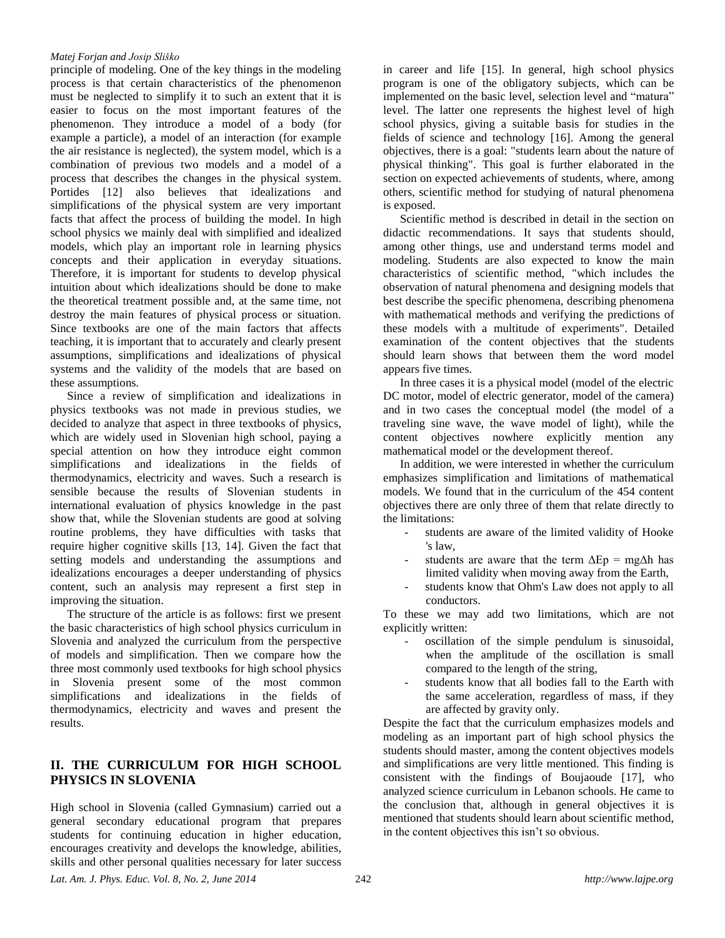#### *Matej Forjan and Josip Sliško*

principle of modeling. One of the key things in the modeling process is that certain characteristics of the phenomenon must be neglected to simplify it to such an extent that it is easier to focus on the most important features of the phenomenon. They introduce a model of a body (for example a particle), a model of an interaction (for example the air resistance is neglected), the system model, which is a combination of previous two models and a model of a process that describes the changes in the physical system. Portides [12] also believes that idealizations and simplifications of the physical system are very important facts that affect the process of building the model. In high school physics we mainly deal with simplified and idealized models, which play an important role in learning physics concepts and their application in everyday situations. Therefore, it is important for students to develop physical intuition about which idealizations should be done to make the theoretical treatment possible and, at the same time, not destroy the main features of physical process or situation. Since textbooks are one of the main factors that affects teaching, it is important that to accurately and clearly present assumptions, simplifications and idealizations of physical systems and the validity of the models that are based on these assumptions.

Since a review of simplification and idealizations in physics textbooks was not made in previous studies, we decided to analyze that aspect in three textbooks of physics, which are widely used in Slovenian high school, paying a special attention on how they introduce eight common simplifications and idealizations in the fields of thermodynamics, electricity and waves. Such a research is sensible because the results of Slovenian students in international evaluation of physics knowledge in the past show that, while the Slovenian students are good at solving routine problems, they have difficulties with tasks that require higher cognitive skills [13, 14]. Given the fact that setting models and understanding the assumptions and idealizations encourages a deeper understanding of physics content, such an analysis may represent a first step in improving the situation.

The structure of the article is as follows: first we present the basic characteristics of high school physics curriculum in Slovenia and analyzed the curriculum from the perspective of models and simplification. Then we compare how the three most commonly used textbooks for high school physics in Slovenia present some of the most common simplifications and idealizations in the fields of thermodynamics, electricity and waves and present the results.

# **II. THE CURRICULUM FOR HIGH SCHOOL PHYSICS IN SLOVENIA**

*Lat. Am. J. Phys. Educ. Vol. 8, No. 2, June 2014* 242 *http://www.lajpe.org* High school in Slovenia (called Gymnasium) carried out a general secondary educational program that prepares students for continuing education in higher education, encourages creativity and develops the knowledge, abilities, skills and other personal qualities necessary for later success

in career and life [15]. In general, high school physics program is one of the obligatory subjects, which can be implemented on the basic level, selection level and "matura" level. The latter one represents the highest level of high school physics, giving a suitable basis for studies in the fields of science and technology [16]. Among the general objectives, there is a goal: "students learn about the nature of physical thinking". This goal is further elaborated in the section on expected achievements of students, where, among others, scientific method for studying of natural phenomena is exposed.

Scientific method is described in detail in the section on didactic recommendations. It says that students should, among other things, use and understand terms model and modeling. Students are also expected to know the main characteristics of scientific method, "which includes the observation of natural phenomena and designing models that best describe the specific phenomena, describing phenomena with mathematical methods and verifying the predictions of these models with a multitude of experiments". Detailed examination of the content objectives that the students should learn shows that between them the word model appears five times.

In three cases it is a physical model (model of the electric DC motor, model of electric generator, model of the camera) and in two cases the conceptual model (the model of a traveling sine wave, the wave model of light), while the content objectives nowhere explicitly mention any mathematical model or the development thereof.

In addition, we were interested in whether the curriculum emphasizes simplification and limitations of mathematical models. We found that in the curriculum of the 454 content objectives there are only three of them that relate directly to the limitations:

- students are aware of the limited validity of Hooke 's law,
- students are aware that the term  $\Delta$ Ep = mg $\Delta$ h has limited validity when moving away from the Earth,
- students know that Ohm's Law does not apply to all conductors.

To these we may add two limitations, which are not explicitly written:

- oscillation of the simple pendulum is sinusoidal, when the amplitude of the oscillation is small compared to the length of the string,
- students know that all bodies fall to the Earth with the same acceleration, regardless of mass, if they are affected by gravity only.

Despite the fact that the curriculum emphasizes models and modeling as an important part of high school physics the students should master, among the content objectives models and simplifications are very little mentioned. This finding is consistent with the findings of Boujaoude [17], who analyzed science curriculum in Lebanon schools. He came to the conclusion that, although in general objectives it is mentioned that students should learn about scientific method, in the content objectives this isn't so obvious.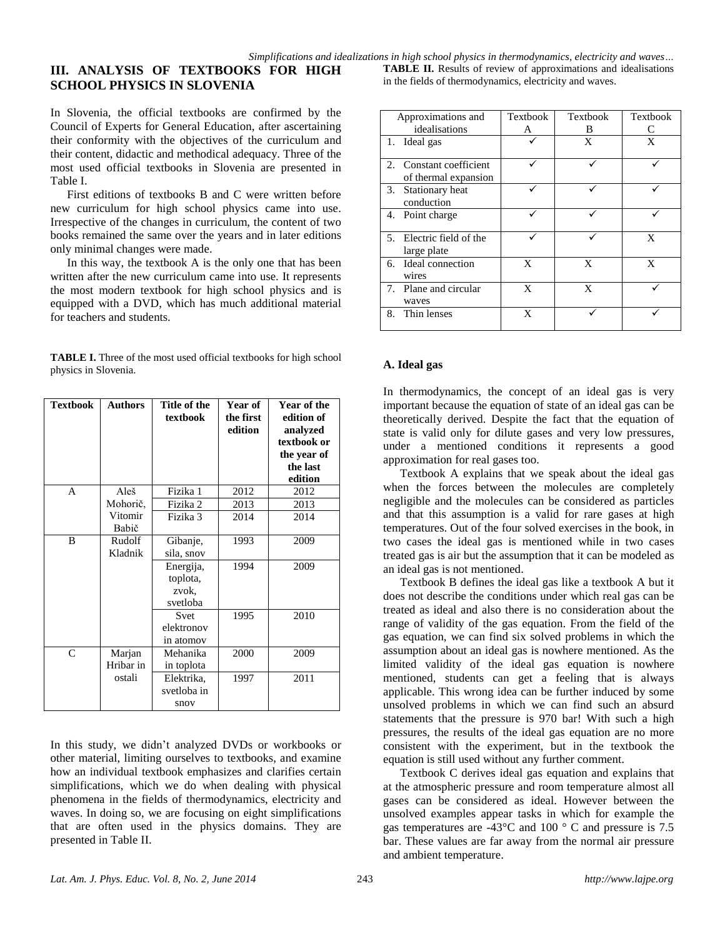# **III. ANALYSIS OF TEXTBOOKS FOR HIGH SCHOOL PHYSICS IN SLOVENIA**

In Slovenia, the official textbooks are confirmed by the Council of Experts for General Education, after ascertaining their conformity with the objectives of the curriculum and their content, didactic and methodical adequacy. Three of the most used official textbooks in Slovenia are presented in Table I.

First editions of textbooks B and C were written before new curriculum for high school physics came into use. Irrespective of the changes in curriculum, the content of two books remained the same over the years and in later editions only minimal changes were made.

In this way, the textbook A is the only one that has been written after the new curriculum came into use. It represents the most modern textbook for high school physics and is equipped with a DVD, which has much additional material for teachers and students.

**TABLE I.** Three of the most used official textbooks for high school physics in Slovenia.

| <b>Textbook</b> | <b>Authors</b>      | Title of the<br>textbook                   | Year of<br>the first<br>edition | Year of the<br>edition of<br>analyzed<br>textbook or<br>the year of<br>the last<br>edition |
|-----------------|---------------------|--------------------------------------------|---------------------------------|--------------------------------------------------------------------------------------------|
| A               | Aleš                | Fizika 1                                   | 2012                            | 2012                                                                                       |
|                 | Mohorič,            | Fizika 2                                   | 2013                            | 2013                                                                                       |
|                 | Vitomir<br>Babič    | Fizika 3                                   | 2014                            | 2014                                                                                       |
| <sub>R</sub>    | Rudolf<br>Kladnik   | Gibanje,<br>sila, snov                     | 1993                            | 2009                                                                                       |
|                 |                     | Energija,<br>toplota,<br>zvok,<br>svetloba | 1994                            | 2009                                                                                       |
|                 |                     | <b>Svet</b><br>elektronov<br>in atomov     | 1995                            | 2010                                                                                       |
| $\mathsf{C}$    | Marjan<br>Hribar in | Mehanika<br>in toplota                     | 2000                            | 2009                                                                                       |
|                 | ostali              | Elektrika,<br>svetloba in<br>snov          | 1997                            | 2011                                                                                       |

In this study, we didn't analyzed DVDs or workbooks or other material, limiting ourselves to textbooks, and examine how an individual textbook emphasizes and clarifies certain simplifications, which we do when dealing with physical phenomena in the fields of thermodynamics, electricity and waves. In doing so, we are focusing on eight simplifications that are often used in the physics domains. They are presented in Table II.

**TABLE II.** Results of review of approximations and idealisations in the fields of thermodynamics, electricity and waves.

| Approximations and                                      | Textbook | Textbook | Textbook |
|---------------------------------------------------------|----------|----------|----------|
| idealisations                                           | А        | B        | C        |
| 1. Ideal gas                                            |          | X        | X        |
| Constant coefficient<br>$2_{1}$<br>of thermal expansion |          |          |          |
| 3. Stationary heat<br>conduction                        |          |          |          |
| 4. Point charge                                         |          |          |          |
| 5. Electric field of the<br>large plate                 |          |          | X        |
| 6. Ideal connection<br>wires                            | X        | X        | X        |
| 7. Plane and circular<br>waves                          | X        | X        |          |
| Thin lenses<br>8.                                       | X        |          |          |

#### **A. Ideal gas**

In thermodynamics, the concept of an ideal gas is very important because the equation of state of an ideal gas can be theoretically derived. Despite the fact that the equation of state is valid only for dilute gases and very low pressures, under a mentioned conditions it represents a good approximation for real gases too.

Textbook A explains that we speak about the ideal gas when the forces between the molecules are completely negligible and the molecules can be considered as particles and that this assumption is a valid for rare gases at high temperatures. Out of the four solved exercises in the book, in two cases the ideal gas is mentioned while in two cases treated gas is air but the assumption that it can be modeled as an ideal gas is not mentioned.

Textbook B defines the ideal gas like a textbook A but it does not describe the conditions under which real gas can be treated as ideal and also there is no consideration about the range of validity of the gas equation. From the field of the gas equation, we can find six solved problems in which the assumption about an ideal gas is nowhere mentioned. As the limited validity of the ideal gas equation is nowhere mentioned, students can get a feeling that is always applicable. This wrong idea can be further induced by some unsolved problems in which we can find such an absurd statements that the pressure is 970 bar! With such a high pressures, the results of the ideal gas equation are no more consistent with the experiment, but in the textbook the equation is still used without any further comment.

Textbook C derives ideal gas equation and explains that at the atmospheric pressure and room temperature almost all gases can be considered as ideal. However between the unsolved examples appear tasks in which for example the gas temperatures are -43°C and 100 ° C and pressure is 7.5 bar. These values are far away from the normal air pressure and ambient temperature.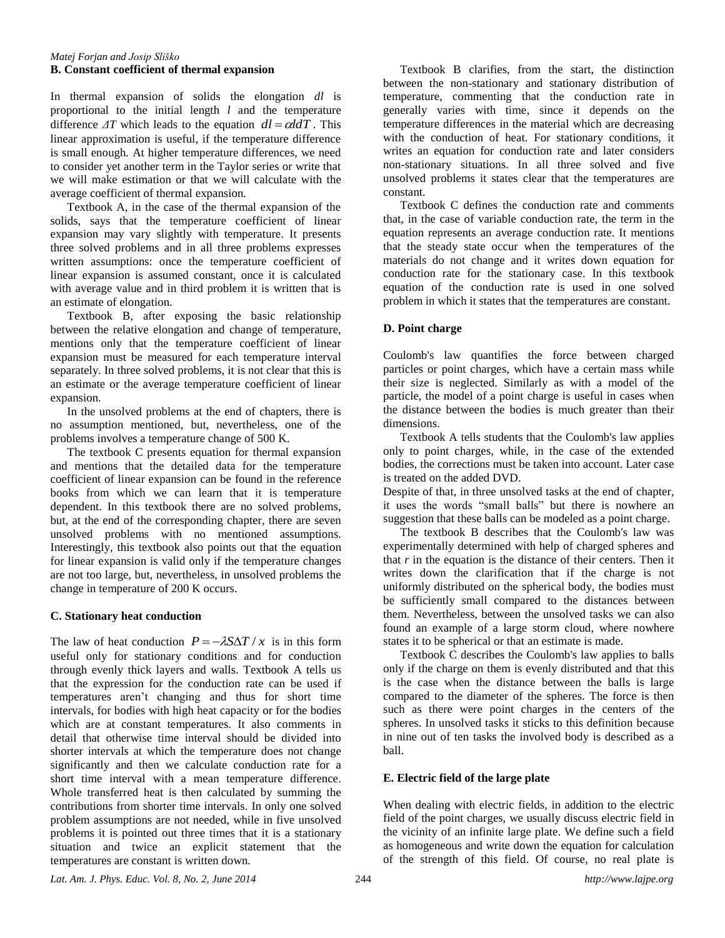#### *Matej Forjan and Josip Sliško* **B. Constant coefficient of thermal expansion**

In thermal expansion of solids the elongation *dl* is proportional to the initial length *l* and the temperature difference  $\Delta T$  which leads to the equation  $dl = \alpha dT$ . This linear approximation is useful, if the temperature difference is small enough. At higher temperature differences, we need to consider yet another term in the Taylor series or write that we will make estimation or that we will calculate with the average coefficient of thermal expansion.

Textbook A, in the case of the thermal expansion of the solids, says that the temperature coefficient of linear expansion may vary slightly with temperature. It presents three solved problems and in all three problems expresses written assumptions: once the temperature coefficient of linear expansion is assumed constant, once it is calculated with average value and in third problem it is written that is an estimate of elongation.

Textbook B, after exposing the basic relationship between the relative elongation and change of temperature, mentions only that the temperature coefficient of linear expansion must be measured for each temperature interval separately. In three solved problems, it is not clear that this is an estimate or the average temperature coefficient of linear expansion.

In the unsolved problems at the end of chapters, there is no assumption mentioned, but, nevertheless, one of the problems involves a temperature change of 500 K.

The textbook C presents equation for thermal expansion and mentions that the detailed data for the temperature coefficient of linear expansion can be found in the reference books from which we can learn that it is temperature dependent. In this textbook there are no solved problems, but, at the end of the corresponding chapter, there are seven unsolved problems with no mentioned assumptions. Interestingly, this textbook also points out that the equation for linear expansion is valid only if the temperature changes are not too large, but, nevertheless, in unsolved problems the change in temperature of 200 K occurs.

# **C. Stationary heat conduction**

The law of heat conduction  $P = -\lambda S \Delta T / x$  is in this form useful only for stationary conditions and for conduction through evenly thick layers and walls. Textbook A tells us that the expression for the conduction rate can be used if temperatures aren't changing and thus for short time intervals, for bodies with high heat capacity or for the bodies which are at constant temperatures. It also comments in detail that otherwise time interval should be divided into shorter intervals at which the temperature does not change significantly and then we calculate conduction rate for a short time interval with a mean temperature difference. Whole transferred heat is then calculated by summing the contributions from shorter time intervals. In only one solved problem assumptions are not needed, while in five unsolved problems it is pointed out three times that it is a stationary situation and twice an explicit statement that the temperatures are constant is written down.

Textbook B clarifies, from the start, the distinction between the non-stationary and stationary distribution of temperature, commenting that the conduction rate in generally varies with time, since it depends on the temperature differences in the material which are decreasing with the conduction of heat. For stationary conditions, it writes an equation for conduction rate and later considers non-stationary situations. In all three solved and five unsolved problems it states clear that the temperatures are constant.

Textbook C defines the conduction rate and comments that, in the case of variable conduction rate, the term in the equation represents an average conduction rate. It mentions that the steady state occur when the temperatures of the materials do not change and it writes down equation for conduction rate for the stationary case. In this textbook equation of the conduction rate is used in one solved problem in which it states that the temperatures are constant.

### **D. Point charge**

Coulomb's law quantifies the force between charged particles or point charges, which have a certain mass while their size is neglected. Similarly as with a model of the particle, the model of a point charge is useful in cases when the distance between the bodies is much greater than their dimensions.

Textbook A tells students that the Coulomb's law applies only to point charges, while, in the case of the extended bodies, the corrections must be taken into account. Later case is treated on the added DVD.

Despite of that, in three unsolved tasks at the end of chapter, it uses the words "small balls" but there is nowhere an suggestion that these balls can be modeled as a point charge.

The textbook B describes that the Coulomb's law was experimentally determined with help of charged spheres and that *r* in the equation is the distance of their centers. Then it writes down the clarification that if the charge is not uniformly distributed on the spherical body, the bodies must be sufficiently small compared to the distances between them. Nevertheless, between the unsolved tasks we can also found an example of a large storm cloud, where nowhere states it to be spherical or that an estimate is made.

Textbook C describes the Coulomb's law applies to balls only if the charge on them is evenly distributed and that this is the case when the distance between the balls is large compared to the diameter of the spheres. The force is then such as there were point charges in the centers of the spheres. In unsolved tasks it sticks to this definition because in nine out of ten tasks the involved body is described as a ball.

# **E. Electric field of the large plate**

When dealing with electric fields, in addition to the electric field of the point charges, we usually discuss electric field in the vicinity of an infinite large plate. We define such a field as homogeneous and write down the equation for calculation of the strength of this field. Of course, no real plate is

*Lat. Am. J. Phys. Educ. Vol. 8, No. 2, June 2014* 244 *http://www.lajpe.org*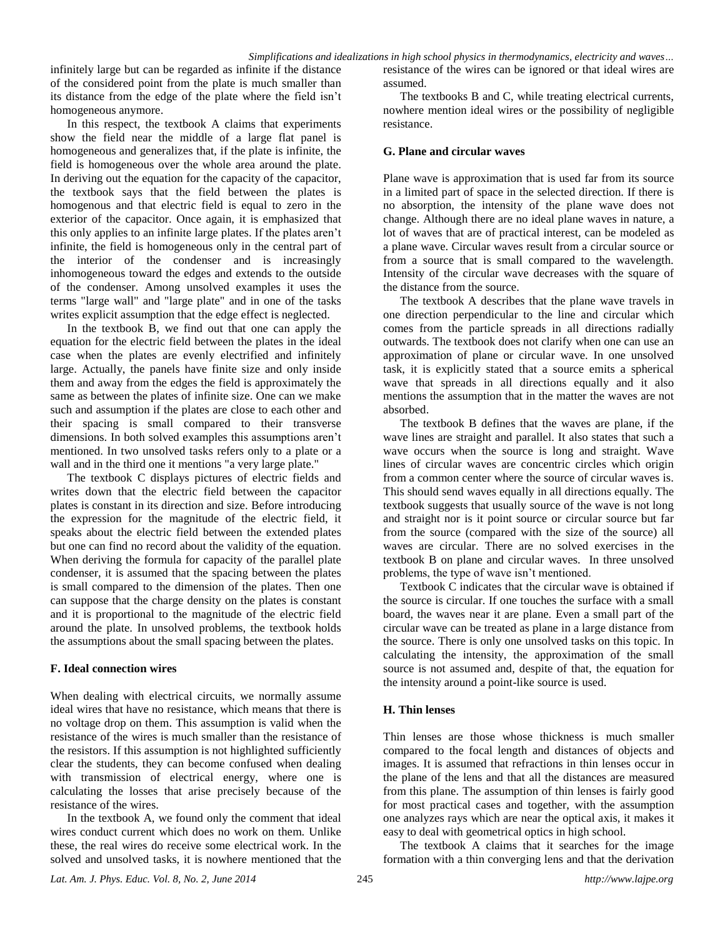infinitely large but can be regarded as infinite if the distance of the considered point from the plate is much smaller than its distance from the edge of the plate where the field isn't homogeneous anymore.

In this respect, the textbook A claims that experiments show the field near the middle of a large flat panel is homogeneous and generalizes that, if the plate is infinite, the field is homogeneous over the whole area around the plate. In deriving out the equation for the capacity of the capacitor, the textbook says that the field between the plates is homogenous and that electric field is equal to zero in the exterior of the capacitor. Once again, it is emphasized that this only applies to an infinite large plates. If the plates aren't infinite, the field is homogeneous only in the central part of the interior of the condenser and is increasingly inhomogeneous toward the edges and extends to the outside of the condenser. Among unsolved examples it uses the terms "large wall" and "large plate" and in one of the tasks writes explicit assumption that the edge effect is neglected.

In the textbook B, we find out that one can apply the equation for the electric field between the plates in the ideal case when the plates are evenly electrified and infinitely large. Actually, the panels have finite size and only inside them and away from the edges the field is approximately the same as between the plates of infinite size. One can we make such and assumption if the plates are close to each other and their spacing is small compared to their transverse dimensions. In both solved examples this assumptions aren't mentioned. In two unsolved tasks refers only to a plate or a wall and in the third one it mentions "a very large plate."

The textbook C displays pictures of electric fields and writes down that the electric field between the capacitor plates is constant in its direction and size. Before introducing the expression for the magnitude of the electric field, it speaks about the electric field between the extended plates but one can find no record about the validity of the equation. When deriving the formula for capacity of the parallel plate condenser, it is assumed that the spacing between the plates is small compared to the dimension of the plates. Then one can suppose that the charge density on the plates is constant and it is proportional to the magnitude of the electric field around the plate. In unsolved problems, the textbook holds the assumptions about the small spacing between the plates.

#### **F. Ideal connection wires**

When dealing with electrical circuits, we normally assume ideal wires that have no resistance, which means that there is no voltage drop on them. This assumption is valid when the resistance of the wires is much smaller than the resistance of the resistors. If this assumption is not highlighted sufficiently clear the students, they can become confused when dealing with transmission of electrical energy, where one is calculating the losses that arise precisely because of the resistance of the wires.

In the textbook A, we found only the comment that ideal wires conduct current which does no work on them. Unlike these, the real wires do receive some electrical work. In the solved and unsolved tasks, it is nowhere mentioned that the

resistance of the wires can be ignored or that ideal wires are assumed.

The textbooks B and C, while treating electrical currents, nowhere mention ideal wires or the possibility of negligible resistance.

#### **G. Plane and circular waves**

Plane wave is approximation that is used far from its source in a limited part of space in the selected direction. If there is no absorption, the intensity of the plane wave does not change. Although there are no ideal plane waves in nature, a lot of waves that are of practical interest, can be modeled as a plane wave. Circular waves result from a circular source or from a source that is small compared to the wavelength. Intensity of the circular wave decreases with the square of the distance from the source.

The textbook A describes that the plane wave travels in one direction perpendicular to the line and circular which comes from the particle spreads in all directions radially outwards. The textbook does not clarify when one can use an approximation of plane or circular wave. In one unsolved task, it is explicitly stated that a source emits a spherical wave that spreads in all directions equally and it also mentions the assumption that in the matter the waves are not absorbed.

The textbook B defines that the waves are plane, if the wave lines are straight and parallel. It also states that such a wave occurs when the source is long and straight. Wave lines of circular waves are concentric circles which origin from a common center where the source of circular waves is. This should send waves equally in all directions equally. The textbook suggests that usually source of the wave is not long and straight nor is it point source or circular source but far from the source (compared with the size of the source) all waves are circular. There are no solved exercises in the textbook B on plane and circular waves. In three unsolved problems, the type of wave isn't mentioned.

Textbook C indicates that the circular wave is obtained if the source is circular. If one touches the surface with a small board, the waves near it are plane. Even a small part of the circular wave can be treated as plane in a large distance from the source. There is only one unsolved tasks on this topic. In calculating the intensity, the approximation of the small source is not assumed and, despite of that, the equation for the intensity around a point-like source is used.

#### **H. Thin lenses**

Thin lenses are those whose thickness is much smaller compared to the focal length and distances of objects and images. It is assumed that refractions in thin lenses occur in the plane of the lens and that all the distances are measured from this plane. The assumption of thin lenses is fairly good for most practical cases and together, with the assumption one analyzes rays which are near the optical axis, it makes it easy to deal with geometrical optics in high school.

The textbook A claims that it searches for the image formation with a thin converging lens and that the derivation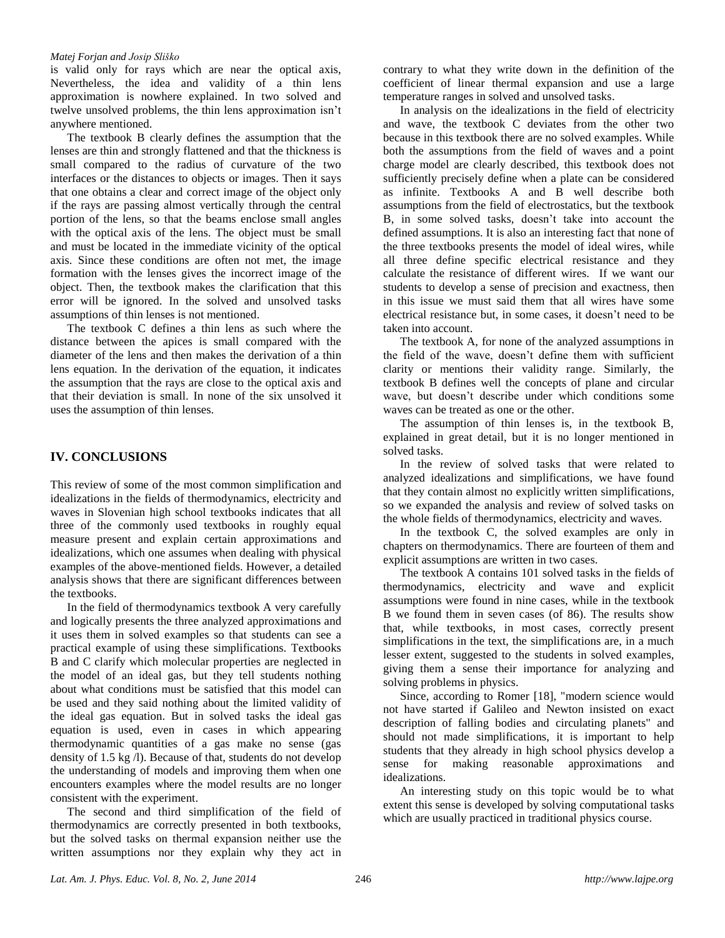#### *Matej Forjan and Josip Sliško*

is valid only for rays which are near the optical axis, Nevertheless, the idea and validity of a thin lens approximation is nowhere explained. In two solved and twelve unsolved problems, the thin lens approximation isn't anywhere mentioned.

The textbook B clearly defines the assumption that the lenses are thin and strongly flattened and that the thickness is small compared to the radius of curvature of the two interfaces or the distances to objects or images. Then it says that one obtains a clear and correct image of the object only if the rays are passing almost vertically through the central portion of the lens, so that the beams enclose small angles with the optical axis of the lens. The object must be small and must be located in the immediate vicinity of the optical axis. Since these conditions are often not met, the image formation with the lenses gives the incorrect image of the object. Then, the textbook makes the clarification that this error will be ignored. In the solved and unsolved tasks assumptions of thin lenses is not mentioned.

The textbook C defines a thin lens as such where the distance between the apices is small compared with the diameter of the lens and then makes the derivation of a thin lens equation. In the derivation of the equation, it indicates the assumption that the rays are close to the optical axis and that their deviation is small. In none of the six unsolved it uses the assumption of thin lenses.

# **IV. CONCLUSIONS**

This review of some of the most common simplification and idealizations in the fields of thermodynamics, electricity and waves in Slovenian high school textbooks indicates that all three of the commonly used textbooks in roughly equal measure present and explain certain approximations and idealizations, which one assumes when dealing with physical examples of the above-mentioned fields. However, a detailed analysis shows that there are significant differences between the textbooks.

In the field of thermodynamics textbook A very carefully and logically presents the three analyzed approximations and it uses them in solved examples so that students can see a practical example of using these simplifications. Textbooks B and C clarify which molecular properties are neglected in the model of an ideal gas, but they tell students nothing about what conditions must be satisfied that this model can be used and they said nothing about the limited validity of the ideal gas equation. But in solved tasks the ideal gas equation is used, even in cases in which appearing thermodynamic quantities of a gas make no sense (gas density of 1.5 kg /l). Because of that, students do not develop the understanding of models and improving them when one encounters examples where the model results are no longer consistent with the experiment.

The second and third simplification of the field of thermodynamics are correctly presented in both textbooks, but the solved tasks on thermal expansion neither use the written assumptions nor they explain why they act in

contrary to what they write down in the definition of the coefficient of linear thermal expansion and use a large temperature ranges in solved and unsolved tasks.

In analysis on the idealizations in the field of electricity and wave, the textbook C deviates from the other two because in this textbook there are no solved examples. While both the assumptions from the field of waves and a point charge model are clearly described, this textbook does not sufficiently precisely define when a plate can be considered as infinite. Textbooks A and B well describe both assumptions from the field of electrostatics, but the textbook B, in some solved tasks, doesn't take into account the defined assumptions. It is also an interesting fact that none of the three textbooks presents the model of ideal wires, while all three define specific electrical resistance and they calculate the resistance of different wires. If we want our students to develop a sense of precision and exactness, then in this issue we must said them that all wires have some electrical resistance but, in some cases, it doesn't need to be taken into account.

The textbook A, for none of the analyzed assumptions in the field of the wave, doesn't define them with sufficient clarity or mentions their validity range. Similarly, the textbook B defines well the concepts of plane and circular wave, but doesn't describe under which conditions some waves can be treated as one or the other.

The assumption of thin lenses is, in the textbook B, explained in great detail, but it is no longer mentioned in solved tasks.

In the review of solved tasks that were related to analyzed idealizations and simplifications, we have found that they contain almost no explicitly written simplifications, so we expanded the analysis and review of solved tasks on the whole fields of thermodynamics, electricity and waves.

In the textbook C, the solved examples are only in chapters on thermodynamics. There are fourteen of them and explicit assumptions are written in two cases.

The textbook A contains 101 solved tasks in the fields of thermodynamics, electricity and wave and explicit assumptions were found in nine cases, while in the textbook B we found them in seven cases (of 86). The results show that, while textbooks, in most cases, correctly present simplifications in the text, the simplifications are, in a much lesser extent, suggested to the students in solved examples, giving them a sense their importance for analyzing and solving problems in physics.

Since, according to Romer [18], "modern science would not have started if Galileo and Newton insisted on exact description of falling bodies and circulating planets" and should not made simplifications, it is important to help students that they already in high school physics develop a sense for making reasonable approximations and idealizations.

An interesting study on this topic would be to what extent this sense is developed by solving computational tasks which are usually practiced in traditional physics course.